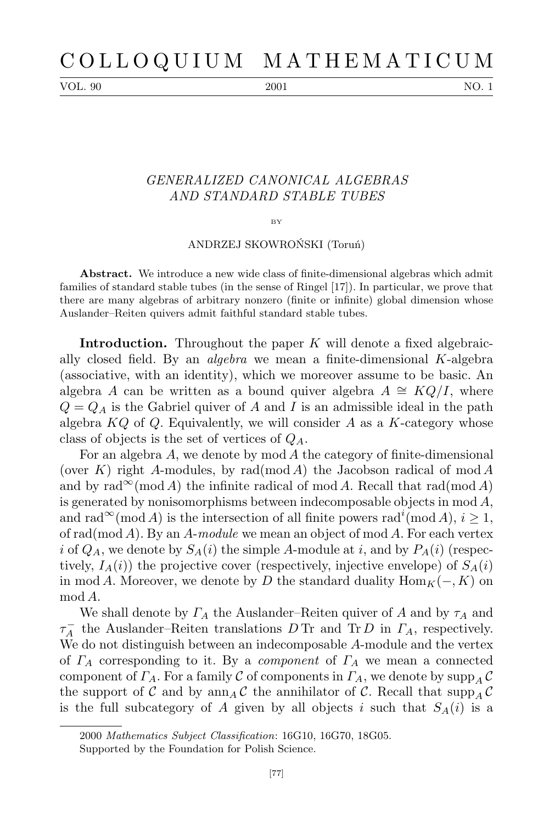VOL. 90 2001 2001 NO. 1

## *GENERALIZED CANONICAL ALGEBRAS AND STANDARD STABLE TUBES*

## BY

## ANDRZEJ SKOWROŃSKI (Toruń)

**Abstract.** We introduce a new wide class of finite-dimensional algebras which admit families of standard stable tubes (in the sense of Ringel [17]). In particular, we prove that there are many algebras of arbitrary nonzero (finite or infinite) global dimension whose Auslander–Reiten quivers admit faithful standard stable tubes.

**Introduction.** Throughout the paper *K* will denote a fixed algebraically closed field. By an *algebra* we mean a finite-dimensional *K*-algebra (associative, with an identity), which we moreover assume to be basic. An algebra *A* can be written as a bound quiver algebra  $A \cong KQ/I$ , where  $Q = Q_A$  is the Gabriel quiver of *A* and *I* is an admissible ideal in the path algebra *KQ* of *Q*. Equivalently, we will consider *A* as a *K*-category whose class of objects is the set of vertices of *QA*.

For an algebra *A*, we denote by mod *A* the category of finite-dimensional (over *K*) right *A*-modules, by rad(mod *A*) the Jacobson radical of mod *A* and by rad<sup>∞</sup>(mod *A*) the infinite radical of mod *A*. Recall that rad(mod *A*) is generated by nonisomorphisms between indecomposable objects in mod *A*, and  $\text{rad}^{\infty}(\text{mod } A)$  is the intersection of all finite powers  $\text{rad}^{i}(\text{mod } A), i \geq 1$ , of rad(mod *A*). By an *A*-*module* we mean an object of mod *A*. For each vertex *i* of  $Q_A$ , we denote by  $S_A(i)$  the simple *A*-module at *i*, and by  $P_A(i)$  (respectively,  $I_A(i)$  the projective cover (respectively, injective envelope) of  $S_A(i)$ in mod *A*. Moreover, we denote by *D* the standard duality  $\text{Hom}_K(-, K)$  on mod *A*.

We shall denote by *Γ<sup>A</sup>* the Auslander–Reiten quiver of *A* and by *τ<sup>A</sup>* and  $\tau_A^-$  the Auslander–Reiten translations *D* Tr and Tr *D* in *Γ*<sub>*A*</sub>, respectively. We do not distinguish between an indecomposable *A*-module and the vertex of *Γ<sup>A</sup>* corresponding to it. By a *component* of *Γ<sup>A</sup>* we mean a connected component of  $\Gamma_A$ . For a family  $\mathcal C$  of components in  $\Gamma_A$ , we denote by  $\text{supp}_A \mathcal C$ the support of *C* and by  $\text{ann}_A C$  the annihilator of *C*. Recall that  $\text{supp}_A C$ is the full subcategory of *A* given by all objects *i* such that  $S_A(i)$  is a

<sup>2000</sup> *Mathematics Subject Classification*: 16G10, 16G70, 18G05. Supported by the Foundation for Polish Science.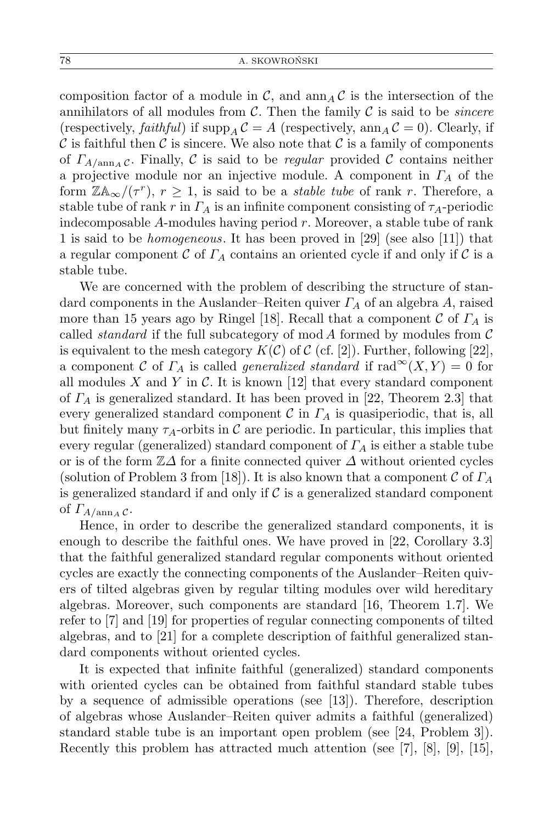composition factor of a module in  $\mathcal{C}$ , and  $\text{ann}_A \mathcal{C}$  is the intersection of the annihilators of all modules from *C*. Then the family *C* is said to be *sincere* (respectively, *faithful*) if  $\text{supp}_A C = A$  (respectively,  $\text{ann}_A C = 0$ ). Clearly, if  $\mathcal C$  is faithful then  $\mathcal C$  is sincere. We also note that  $\mathcal C$  is a family of components of  $\Gamma_{A/\text{ann}_A}$  *c*. Finally, *C* is said to be *regular* provided *C* contains neither a projective module nor an injective module. A component in *Γ<sup>A</sup>* of the form  $\mathbb{Z} \mathbb{A}_{\infty} / (\tau^r)$ ,  $r \geq 1$ , is said to be a *stable tube* of rank *r*. Therefore, a stable tube of rank *r* in  $\Gamma_A$  is an infinite component consisting of  $\tau_A$ -periodic indecomposable *A*-modules having period *r*. Moreover, a stable tube of rank 1 is said to be *homogeneous*. It has been proved in [29] (see also [11]) that a regular component  $\mathcal C$  of  $\Gamma_A$  contains an oriented cycle if and only if  $\mathcal C$  is a stable tube.

We are concerned with the problem of describing the structure of standard components in the Auslander–Reiten quiver *Γ<sup>A</sup>* of an algebra *A*, raised more than 15 years ago by Ringel [18]. Recall that a component *C* of *Γ<sup>A</sup>* is called *standard* if the full subcategory of mod *A* formed by modules from *C* is equivalent to the mesh category  $K(\mathcal{C})$  of  $\mathcal{C}$  (cf. [2]). Further, following [22], a component *C* of  $\Gamma_A$  is called *generalized standard* if  $\text{rad}^{\infty}(X, Y) = 0$  for all modules  $X$  and  $Y$  in  $C$ . It is known [12] that every standard component of *Γ<sup>A</sup>* is generalized standard. It has been proved in [22, Theorem 2.3] that every generalized standard component  $\mathcal C$  in  $\Gamma_A$  is quasiperiodic, that is, all but finitely many  $\tau_A$ -orbits in C are periodic. In particular, this implies that every regular (generalized) standard component of *Γ<sup>A</sup>* is either a stable tube or is of the form Z*∆* for a finite connected quiver *∆* without oriented cycles (solution of Problem 3 from [18]). It is also known that a component *C* of *Γ<sup>A</sup>* is generalized standard if and only if *C* is a generalized standard component of  $\Gamma_{A/\text{ann }A}$   $\mathcal{C}$ .

Hence, in order to describe the generalized standard components, it is enough to describe the faithful ones. We have proved in [22, Corollary 3.3] that the faithful generalized standard regular components without oriented cycles are exactly the connecting components of the Auslander–Reiten quivers of tilted algebras given by regular tilting modules over wild hereditary algebras. Moreover, such components are standard [16, Theorem 1.7]. We refer to [7] and [19] for properties of regular connecting components of tilted algebras, and to [21] for a complete description of faithful generalized standard components without oriented cycles.

It is expected that infinite faithful (generalized) standard components with oriented cycles can be obtained from faithful standard stable tubes by a sequence of admissible operations (see [13]). Therefore, description of algebras whose Auslander–Reiten quiver admits a faithful (generalized) standard stable tube is an important open problem (see [24, Problem 3]). Recently this problem has attracted much attention (see [7], [8], [9], [15],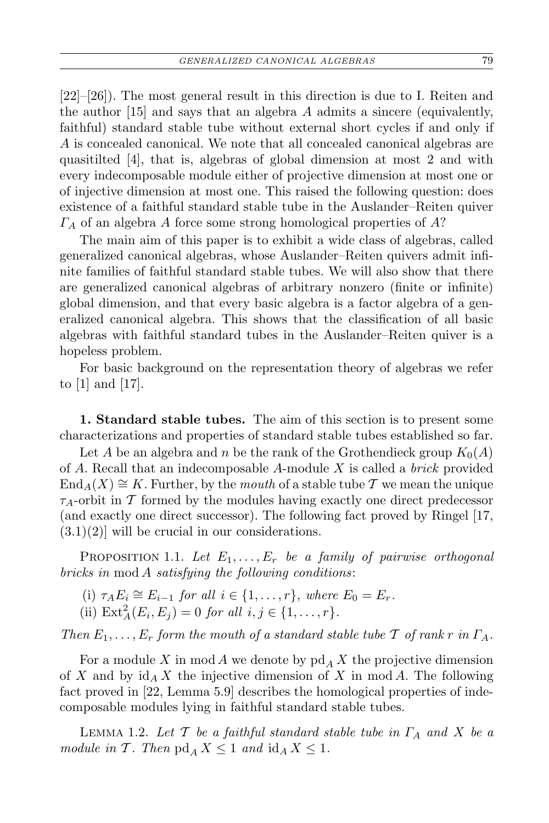[22]–[26]). The most general result in this direction is due to I. Reiten and the author [15] and says that an algebra *A* admits a sincere (equivalently, faithful) standard stable tube without external short cycles if and only if *A* is concealed canonical. We note that all concealed canonical algebras are quasitilted [4], that is, algebras of global dimension at most 2 and with every indecomposable module either of projective dimension at most one or of injective dimension at most one. This raised the following question: does existence of a faithful standard stable tube in the Auslander–Reiten quiver *Γ<sup>A</sup>* of an algebra *A* force some strong homological properties of *A*?

The main aim of this paper is to exhibit a wide class of algebras, called generalized canonical algebras, whose Auslander–Reiten quivers admit infinite families of faithful standard stable tubes. We will also show that there are generalized canonical algebras of arbitrary nonzero (finite or infinite) global dimension, and that every basic algebra is a factor algebra of a generalized canonical algebra. This shows that the classification of all basic algebras with faithful standard tubes in the Auslander–Reiten quiver is a hopeless problem.

For basic background on the representation theory of algebras we refer to [1] and [17].

**1. Standard stable tubes.** The aim of this section is to present some characterizations and properties of standard stable tubes established so far.

Let *A* be an algebra and *n* be the rank of the Grothendieck group  $K_0(A)$ of *A*. Recall that an indecomposable *A*-module *X* is called a *brick* provided  $\text{End}_A(X) \cong K$ . Further, by the *mouth* of a stable tube  $\mathcal T$  we mean the unique *τA*-orbit in *T* formed by the modules having exactly one direct predecessor (and exactly one direct successor). The following fact proved by Ringel [17,  $(3.1)(2)$  will be crucial in our considerations.

PROPOSITION 1.1. Let  $E_1, \ldots, E_r$  be a family of pairwise orthogonal *bricks in* mod *A satisfying the following conditions*:

- (i)  $\tau_A E_i \cong E_{i-1}$  *for all*  $i \in \{1, ..., r\}$ , *where*  $E_0 = E_r$ *.*
- (ii)  $\text{Ext}_{A}^{2}(E_{i}, E_{j}) = 0$  *for all*  $i, j \in \{1, ..., r\}$ *.*

*Then*  $E_1, \ldots, E_r$  *form the mouth of a standard stable tube*  $\mathcal T$  *of rank*  $r$  *in*  $\Gamma_A$ *.* 

For a module X in mod A we denote by  $\operatorname{pd}_A X$  the projective dimension of *X* and by id*<sup>A</sup> X* the injective dimension of *X* in mod *A*. The following fact proved in [22, Lemma 5.9] describes the homological properties of indecomposable modules lying in faithful standard stable tubes.

Lemma 1.2. *Let T be a faithful standard stable tube in Γ<sup>A</sup> and X be a module in*  $\mathcal{T}$ *. Then*  $\text{pd}_A X \leq 1$  *and*  $\text{id}_A X \leq 1$ *.*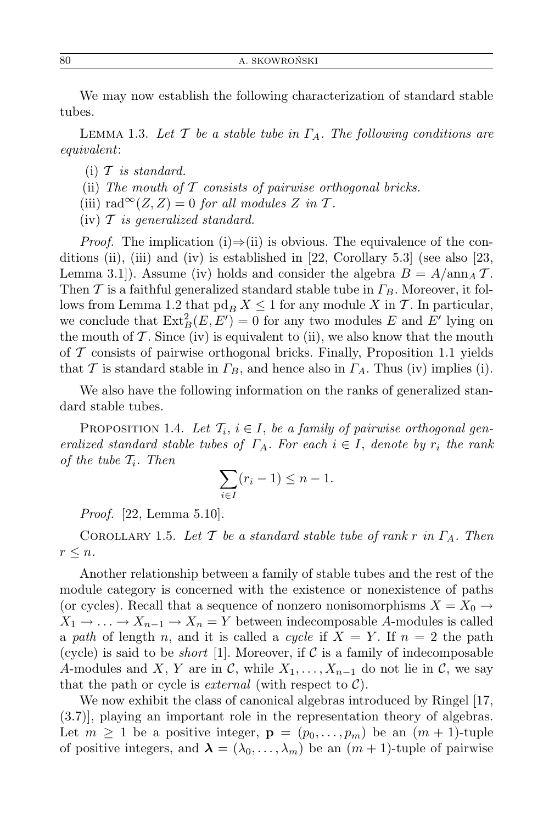We may now establish the following characterization of standard stable tubes.

Lemma 1.3. *Let T be a stable tube in ΓA. The following conditions are equivalent*:

- (i) *T is standard.*
- (ii) *The mouth of T consists of pairwise orthogonal bricks.*
- (iii)  $\text{rad}^{\infty}(Z, Z) = 0$  *for all modules Z in T*.
- (iv) *T is generalized standard.*

*Proof.* The implication (i)⇒(ii) is obvious. The equivalence of the conditions (ii), (iii) and (iv) is established in  $[22, Corollary 5.3]$  (see also  $[23,$ Lemma 3.1]). Assume (iv) holds and consider the algebra  $B = A/\text{ann}_A T$ . Then *T* is a faithful generalized standard stable tube in *ΓB*. Moreover, it follows from Lemma 1.2 that  $\text{pd}_B X \leq 1$  for any module X in T. In particular, we conclude that  $\text{Ext}^2_B(E, E') = 0$  for any two modules *E* and *E'* lying on the mouth of  $\mathcal T$ . Since (iv) is equivalent to (ii), we also know that the mouth of *T* consists of pairwise orthogonal bricks. Finally, Proposition 1.1 yields that *T* is standard stable in  $\Gamma_B$ , and hence also in  $\Gamma_A$ . Thus (iv) implies (i).

We also have the following information on the ranks of generalized standard stable tubes.

PROPOSITION 1.4. Let  $\mathcal{T}_i$ ,  $i \in I$ , be a family of pairwise orthogonal gen*eralized standard stable tubes of*  $\Gamma_A$ *. For each*  $i \in I$ *, denote by*  $r_i$  *the rank of the tube Ti. Then*

$$
\sum_{i \in I} (r_i - 1) \le n - 1.
$$

*Proof.* [22, Lemma 5.10].

COROLLARY 1.5. Let  $\mathcal{T}$  be a standard stable tube of rank  $r$  in  $\Gamma_A$ . Then  $r \leq n$ *.* 

Another relationship between a family of stable tubes and the rest of the module category is concerned with the existence or nonexistence of paths (or cycles). Recall that a sequence of nonzero nonisomorphisms  $X = X_0 \rightarrow$  $X_1 \rightarrow \ldots \rightarrow X_{n-1} \rightarrow X_n = Y$  between indecomposable *A*-modules is called a *path* of length *n*, and it is called a *cycle* if  $X = Y$ . If  $n = 2$  the path (cycle) is said to be *short* [1]. Moreover, if  $C$  is a family of indecomposable *A*-modules and *X*, *Y* are in *C*, while  $X_1, \ldots, X_{n-1}$  do not lie in *C*, we say that the path or cycle is *external* (with respect to  $C$ ).

We now exhibit the class of canonical algebras introduced by Ringel [17, (3.7)], playing an important role in the representation theory of algebras. Let  $m \geq 1$  be a positive integer,  $\mathbf{p} = (p_0, \ldots, p_m)$  be an  $(m+1)$ -tuple of positive integers, and  $\lambda = (\lambda_0, \ldots, \lambda_m)$  be an  $(m + 1)$ -tuple of pairwise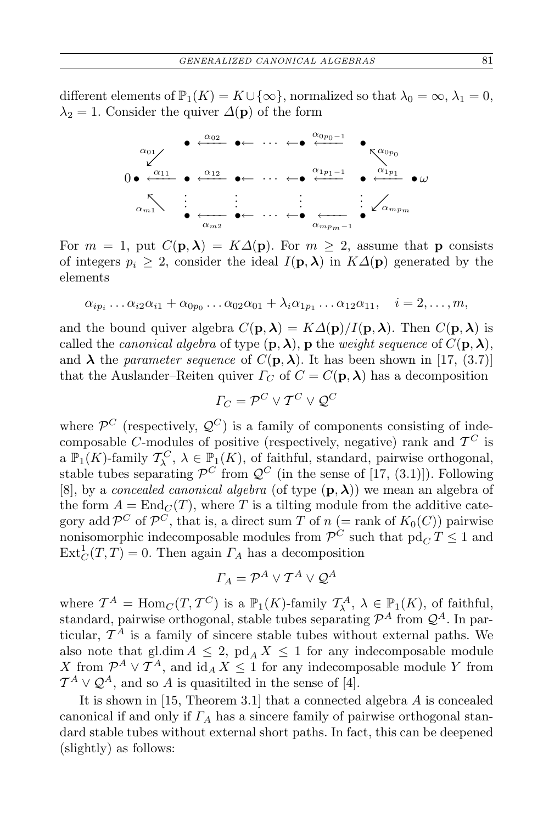different elements of  $\mathbb{P}_1(K) = K \cup \{\infty\}$ , normalized so that  $\lambda_0 = \infty$ ,  $\lambda_1 = 0$ ,  $\lambda_2 = 1$ . Consider the quiver  $\Delta(\mathbf{p})$  of the form



For  $m = 1$ , put  $C(\mathbf{p}, \lambda) = K\Delta(\mathbf{p})$ . For  $m \geq 2$ , assume that **p** consists of integers  $p_i \geq 2$ , consider the ideal  $I(\mathbf{p}, \lambda)$  in  $K\Delta(\mathbf{p})$  generated by the elements

$$
\alpha_{ip_i} \dots \alpha_{i2} \alpha_{i1} + \alpha_{0p_0} \dots \alpha_{02} \alpha_{01} + \lambda_i \alpha_{1p_1} \dots \alpha_{12} \alpha_{11}, \quad i = 2, \dots, m,
$$

and the bound quiver algebra  $C(\mathbf{p}, \lambda) = K\Delta(\mathbf{p})/I(\mathbf{p}, \lambda)$ . Then  $C(\mathbf{p}, \lambda)$  is called the *canonical algebra* of type  $(\mathbf{p}, \lambda)$ , **p** the *weight sequence* of  $C(\mathbf{p}, \lambda)$ , and  $\lambda$  the *parameter sequence* of  $C(\mathbf{p}, \lambda)$ . It has been shown in [17, (3.7)] that the Auslander–Reiten quiver  $\Gamma_C$  of  $C = C(\mathbf{p}, \lambda)$  has a decomposition

$$
\Gamma_C = \mathcal{P}^C \vee \mathcal{T}^C \vee \mathcal{Q}^C
$$

where  $\mathcal{P}^C$  (respectively,  $\mathcal{Q}^C$ ) is a family of components consisting of indecomposable *C*-modules of positive (respectively, negative) rank and  $T^C$  is a  $\mathbb{P}_1(K)$ -family  $\mathcal{T}_{\lambda}^C$ ,  $\lambda \in \mathbb{P}_1(K)$ , of faithful, standard, pairwise orthogonal, stable tubes separating  $\mathcal{P}^C$  from  $\mathcal{Q}^C$  (in the sense of [17, (3.1)]). Following [8], by a *concealed canonical algebra* (of type  $(\mathbf{p}, \boldsymbol{\lambda})$ ) we mean an algebra of the form  $A = \text{End}_{\mathbb{C}}(T)$ , where T is a tilting module from the additive category add  $\mathcal{P}^C$  of  $\mathcal{P}^C$ , that is, a direct sum *T* of *n* (= rank of  $K_0(C)$ ) pairwise nonisomorphic indecomposable modules from  $\mathcal{P}^C$  such that  $\text{pd}_C T \leq 1$  and  $\text{Ext}^1_C(T,T) = 0$ . Then again  $\Gamma_A$  has a decomposition

$$
\Gamma_A = \mathcal{P}^A \vee \mathcal{T}^A \vee \mathcal{Q}^A
$$

where  $\mathcal{T}^A = \text{Hom}_{\mathcal{C}}(T, \mathcal{T}^C)$  is a  $\mathbb{P}_1(K)$ -family  $\mathcal{T}^A_{\lambda}, \lambda \in \mathbb{P}_1(K)$ , of faithful, standard, pairwise orthogonal, stable tubes separating  $\mathcal{P}^A$  from  $\mathcal{Q}^A$ . In particular, *T <sup>A</sup>* is a family of sincere stable tubes without external paths. We also note that gl.dim  $A \leq 2$ ,  $\text{pd}_A X \leq 1$  for any indecomposable module *X* from  $\mathcal{P}^A \vee \mathcal{T}^A$ , and  $\mathrm{id}_A X \leq 1$  for any indecomposable module *Y* from  $\mathcal{T}^A \vee \mathcal{Q}^A$ , and so *A* is quasitilted in the sense of [4].

It is shown in [15, Theorem 3.1] that a connected algebra *A* is concealed canonical if and only if *Γ<sup>A</sup>* has a sincere family of pairwise orthogonal standard stable tubes without external short paths. In fact, this can be deepened (slightly) as follows: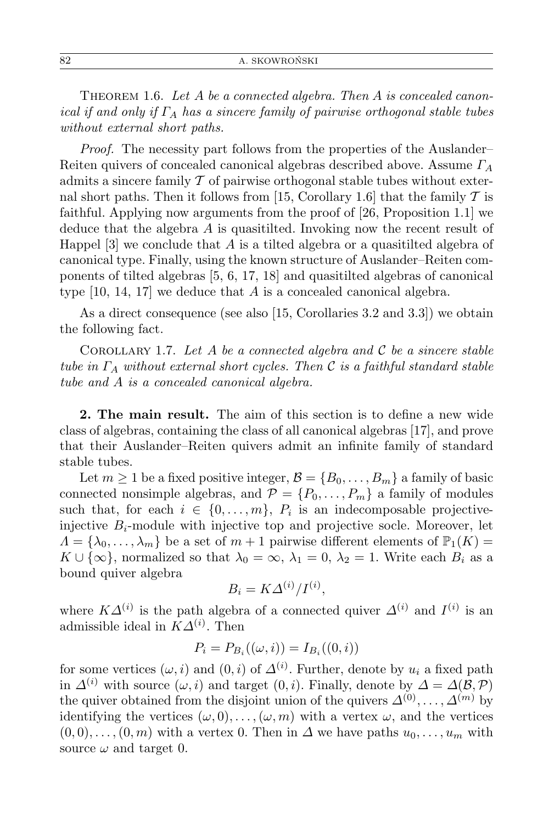Theorem 1.6. *Let A be a connected algebra. Then A is concealed canonical if and only if Γ<sup>A</sup> has a sincere family of pairwise orthogonal stable tubes without external short paths.*

*Proof.* The necessity part follows from the properties of the Auslander– Reiten quivers of concealed canonical algebras described above. Assume *Γ<sup>A</sup>* admits a sincere family *T* of pairwise orthogonal stable tubes without external short paths. Then it follows from [15, Corollary 1.6] that the family *T* is faithful. Applying now arguments from the proof of [26, Proposition 1.1] we deduce that the algebra *A* is quasitilted. Invoking now the recent result of Happel [3] we conclude that *A* is a tilted algebra or a quasitilted algebra of canonical type. Finally, using the known structure of Auslander–Reiten components of tilted algebras [5, 6, 17, 18] and quasitilted algebras of canonical type [10, 14, 17] we deduce that *A* is a concealed canonical algebra.

As a direct consequence (see also [15, Corollaries 3.2 and 3.3]) we obtain the following fact.

COROLLARY 1.7. Let  $A$  be a connected algebra and  $C$  be a sincere stable *tube in Γ<sup>A</sup> without external short cycles. Then C is a faithful standard stable tube and A is a concealed canonical algebra.*

**2. The main result.** The aim of this section is to define a new wide class of algebras, containing the class of all canonical algebras [17], and prove that their Auslander–Reiten quivers admit an infinite family of standard stable tubes.

Let  $m \geq 1$  be a fixed positive integer,  $\mathcal{B} = \{B_0, \ldots, B_m\}$  a family of basic connected nonsimple algebras, and  $P = \{P_0, \ldots, P_m\}$  a family of modules such that, for each  $i \in \{0, \ldots, m\}$ ,  $P_i$  is an indecomposable projectiveinjective  $B_i$ -module with injective top and projective socle. Moreover, let  $\Lambda = {\lambda_0, \ldots, \lambda_m}$  be a set of  $m+1$  pairwise different elements of  $\mathbb{P}_1(K)$  $K \cup {\infty}$ , normalized so that  $\lambda_0 = \infty$ ,  $\lambda_1 = 0$ ,  $\lambda_2 = 1$ . Write each  $B_i$  as a bound quiver algebra

$$
B_i = K \Delta^{(i)} / I^{(i)},
$$

where  $K\Delta^{(i)}$  is the path algebra of a connected quiver  $\Delta^{(i)}$  and  $I^{(i)}$  is an admissible ideal in  $K\Delta^{(i)}$ . Then

$$
P_i = P_{B_i}((\omega, i)) = I_{B_i}((0, i))
$$

for some vertices  $(\omega, i)$  and  $(0, i)$  of  $\Delta^{(i)}$ . Further, denote by  $u_i$  a fixed path in  $\Delta^{(i)}$  with source  $(\omega, i)$  and target  $(0, i)$ . Finally, denote by  $\Delta = \Delta(\mathcal{B}, \mathcal{P})$ the quiver obtained from the disjoint union of the quivers  $\Delta^{(0)}, \ldots, \Delta^{(m)}$  by identifying the vertices  $(\omega, 0), \ldots, (\omega, m)$  with a vertex  $\omega$ , and the vertices  $(0,0),\ldots,(0,m)$  with a vertex 0. Then in  $\Delta$  we have paths  $u_0,\ldots,u_m$  with source  $\omega$  and target 0.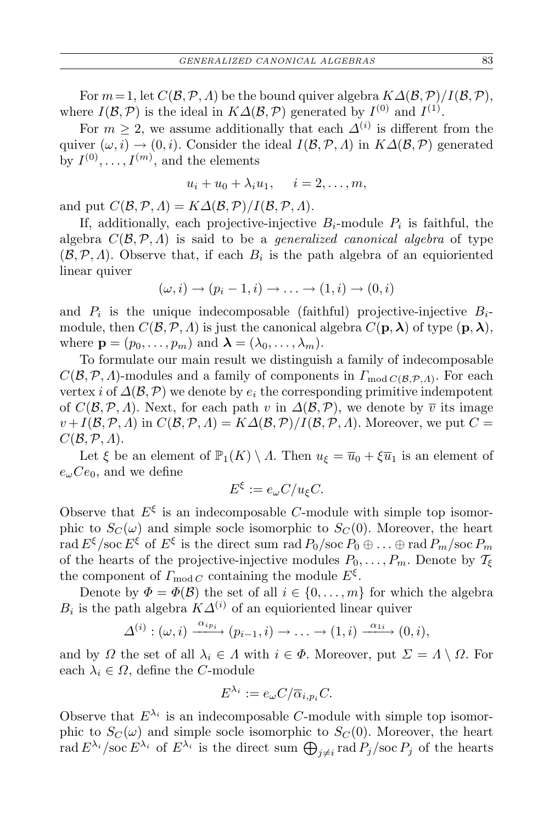For  $m = 1$ , let  $C(\mathcal{B}, \mathcal{P}, \Lambda)$  be the bound quiver algebra  $K\Delta(\mathcal{B}, \mathcal{P})/I(\mathcal{B}, \mathcal{P})$ , where  $I(\mathcal{B}, \mathcal{P})$  is the ideal in  $K\Delta(\mathcal{B}, \mathcal{P})$  generated by  $I^{(0)}$  and  $I^{(1)}$ .

For  $m \geq 2$ , we assume additionally that each  $\Delta^{(i)}$  is different from the quiver  $(\omega, i) \rightarrow (0, i)$ . Consider the ideal  $I(\mathcal{B}, \mathcal{P}, \Lambda)$  in  $K\Delta(\mathcal{B}, \mathcal{P})$  generated by  $I^{(0)}, \ldots, I^{(m)}$ , and the elements

$$
u_i + u_0 + \lambda_i u_1, \quad i = 2, \dots, m,
$$

and put  $C(\mathcal{B}, \mathcal{P}, \Lambda) = K\Delta(\mathcal{B}, \mathcal{P})/I(\mathcal{B}, \mathcal{P}, \Lambda).$ 

If, additionally, each projective-injective  $B_i$ -module  $P_i$  is faithful, the algebra  $C(\mathcal{B}, \mathcal{P}, \Lambda)$  is said to be a *generalized canonical algebra* of type  $(\mathcal{B}, \mathcal{P}, \Lambda)$ . Observe that, if each  $B_i$  is the path algebra of an equioriented linear quiver

$$
(\omega, i) \rightarrow (p_i - 1, i) \rightarrow \ldots \rightarrow (1, i) \rightarrow (0, i)
$$

and  $P_i$  is the unique indecomposable (faithful) projective-injective  $B_i$ module, then  $C(\mathcal{B}, \mathcal{P}, \Lambda)$  is just the canonical algebra  $C(\mathbf{p}, \lambda)$  of type  $(\mathbf{p}, \lambda)$ , where  $\mathbf{p} = (p_0, \ldots, p_m)$  and  $\boldsymbol{\lambda} = (\lambda_0, \ldots, \lambda_m)$ .

To formulate our main result we distinguish a family of indecomposable  $C(\mathcal{B}, \mathcal{P}, \Lambda)$ -modules and a family of components in  $\Gamma_{\text{mod }C(\mathcal{B}, \mathcal{P}, \Lambda)}$ . For each vertex *i* of  $\Delta(\mathcal{B}, \mathcal{P})$  we denote by  $e_i$  the corresponding primitive indempotent of  $C(\mathcal{B}, \mathcal{P}, \Lambda)$ . Next, for each path *v* in  $\Delta(\mathcal{B}, \mathcal{P})$ , we denote by  $\overline{v}$  its image  $v + I(\mathcal{B}, \mathcal{P}, \Lambda)$  in  $C(\mathcal{B}, \mathcal{P}, \Lambda) = K\Delta(\mathcal{B}, \mathcal{P})/I(\mathcal{B}, \mathcal{P}, \Lambda)$ . Moreover, we put  $C =$ *C*(*B,P, Λ*).

Let  $\xi$  be an element of  $\mathbb{P}_1(K) \setminus \Lambda$ . Then  $u_{\xi} = \overline{u}_0 + \xi \overline{u}_1$  is an element of  $e_{\omega}Ce_0$ , and we define

$$
E^{\xi} := e_{\omega} C / u_{\xi} C.
$$

Observe that  $E^{\xi}$  is an indecomposable *C*-module with simple top isomorphic to  $S_C(\omega)$  and simple socle isomorphic to  $S_C(0)$ . Moreover, the heart  $\text{rad } E^{\xi}/\text{soc } E^{\xi}$  of  $E^{\xi}$  is the direct sum  $\text{rad } P_0/\text{soc } P_0 \oplus \ldots \oplus \text{rad } P_m/\text{soc } P_m$ of the hearts of the projective-injective modules  $P_0, \ldots, P_m$ . Denote by  $\mathcal{T}_{\xi}$ the component of  $\Gamma_{\text{mod }C}$  containing the module  $E^{\xi}$ .

Denote by  $\Phi = \Phi(\mathcal{B})$  the set of all  $i \in \{0, \ldots, m\}$  for which the algebra  $B_i$  is the path algebra  $K\Delta^{(i)}$  of an equioriented linear quiver

$$
\Delta^{(i)}: (\omega, i) \xrightarrow{\alpha_{ip_i}} (p_{i-1}, i) \to \ldots \to (1, i) \xrightarrow{\alpha_{1i}} (0, i),
$$

and by *Ω* the set of all  $\lambda_i \in \Lambda$  with  $i \in \Phi$ . Moreover, put  $\Sigma = \Lambda \setminus \Omega$ . For each  $\lambda_i \in \Omega$ , define the *C*-module

$$
E^{\lambda_i} := e_{\omega} C / \overline{\alpha}_{i, p_i} C.
$$

Observe that  $E^{\lambda_i}$  is an indecomposable *C*-module with simple top isomorphic to  $S_C(\omega)$  and simple socle isomorphic to  $S_C(0)$ . Moreover, the heart rad  $E^{\lambda_i}$  /soc  $E^{\lambda_i}$  of  $E^{\lambda_i}$  is the direct sum  $\bigoplus_{j\neq i}$  rad  $P_j$ /soc  $P_j$  of the hearts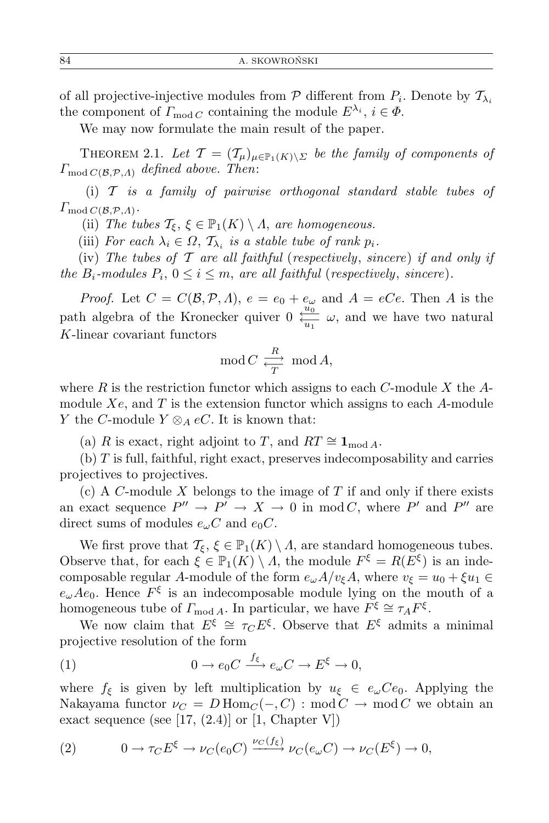of all projective-injective modules from  $P$  different from  $P_i$ . Denote by  $\mathcal{T}_{\lambda_i}$ the component of  $\Gamma_{\text{mod }C}$  containing the module  $E^{\lambda_i}$ ,  $i \in \Phi$ .

We may now formulate the main result of the paper.

THEOREM 2.1. Let  $\mathcal{T} = (\mathcal{T}_{\mu})_{\mu \in \mathbb{P}_{1}(K) \setminus \Sigma}$  be the family of components of *Γ*mod *<sup>C</sup>*(*B,P,Λ*) *defined above. Then*:

(i) *T is a family of pairwise orthogonal standard stable tubes of*  $\Gamma_{\mathrm{mod}\, C(\mathcal{B},\mathcal{P},\varLambda)}.$ 

(ii) *The tubes*  $\mathcal{T}_{\xi}, \xi \in \mathbb{P}_1(K) \setminus \Lambda$ , *are homogeneous.* 

(iii) *For each*  $\lambda_i \in \Omega$ ,  $\mathcal{T}_{\lambda_i}$  *is a stable tube of rank*  $p_i$ *.* 

(iv) *The tubes of T are all faithful* (*respectively*, *sincere*) *if and only if the*  $B_i$ -modules  $P_i$ ,  $0 \le i \le m$ , are all faithful (*respectively*, *sincere*).

*Proof.* Let  $C = C(\mathcal{B}, \mathcal{P}, \Lambda)$ ,  $e = e_0 + e_\omega$  and  $A = eCe$ . Then A is the path algebra of the Kronecker quiver  $0 \frac{u_0}{u_1} \omega$ , and we have two natural *K*-linear covariant functors

$$
\operatorname{mod} C \xrightarrow[\frac{R}{T}]\operatorname{mod} A,
$$

where *R* is the restriction functor which assigns to each *C*-module *X* the *A*module *Xe*, and *T* is the extension functor which assigns to each *A*-module *Y* the *C*-module  $Y \otimes_A eC$ . It is known that:

(a) *R* is exact, right adjoint to *T*, and  $RT \cong \mathbf{1}_{\text{mod }A}$ .

(b) *T* is full, faithful, right exact, preserves indecomposability and carries projectives to projectives.

(c) A *C*-module *X* belongs to the image of *T* if and only if there exists an exact sequence  $P'' \to P' \to X \to 0$  in mod *C*, where  $P'$  and  $P''$  are direct sums of modules  $e_{\omega}C$  and  $e_{0}C$ .

We first prove that  $\mathcal{T}_{\xi}$ ,  $\xi \in \mathbb{P}_1(K) \setminus \Lambda$ , are standard homogeneous tubes. Observe that, for each  $\xi \in \mathbb{P}_1(K) \setminus \Lambda$ , the module  $F^{\xi} = R(E^{\xi})$  is an indecomposable regular *A*-module of the form  $e_{\omega}A/v_{\xi}A$ , where  $v_{\xi} = u_0 + \xi u_1 \in$  $e_{\omega}Ae_0$ . Hence  $F^{\xi}$  is an indecomposable module lying on the mouth of a homogeneous tube of  $\Gamma_{\text{mod }A}$ . In particular, we have  $F^{\xi} \cong \tau_A F^{\xi}$ .

We now claim that  $E^{\xi} \cong \tau_C E^{\xi}$ . Observe that  $E^{\xi}$  admits a minimal projective resolution of the form

(1) 
$$
0 \to e_0 C \xrightarrow{f_{\xi}} e_{\omega} C \to E^{\xi} \to 0,
$$

where  $f_{\xi}$  is given by left multiplication by  $u_{\xi} \in e_{\omega}Ce_0$ . Applying the Nakayama functor  $\nu_C = D \operatorname{Hom}_C(-, C)$ : mod  $C \to \operatorname{mod} C$  we obtain an exact sequence (see [17,  $(2.4)$ ] or [1, Chapter V])

(2) 
$$
0 \to \tau_C E^{\xi} \to \nu_C(e_0 C) \xrightarrow{\nu_C(f_{\xi})} \nu_C(e_{\omega} C) \to \nu_C(E^{\xi}) \to 0,
$$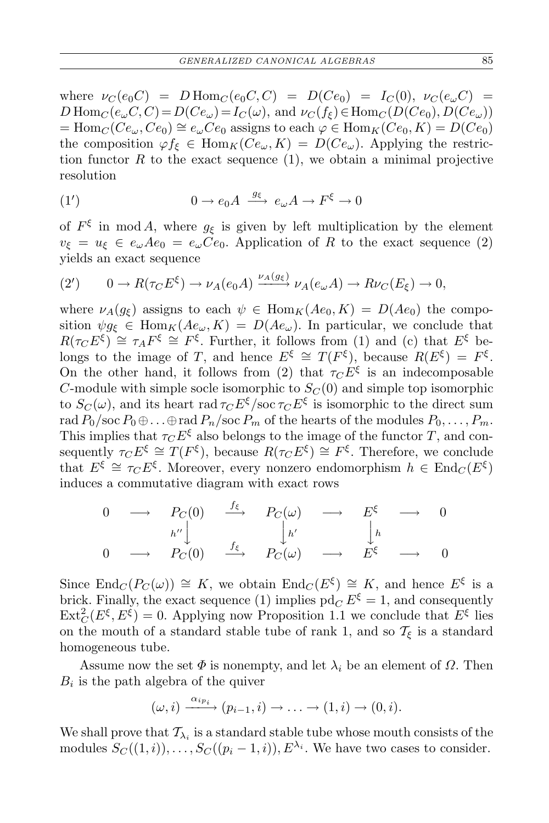where  $\nu_C(e_0C) = D \text{Hom}_C(e_0C, C) = D(Ce_0) = I_C(0), \ \nu_C(e_\omega C) =$  $D$  Hom<sub>*C*</sub>( $e_{\omega}$ *C*,*C*) =  $D(Ce_{\omega}) = I_C(\omega)$ , and  $\nu_C(f_{\xi}) \in \text{Hom}_C(D(Ce_0), D(Ce_{\omega}))$  $=$  Hom<sub>*C*</sub>( $Ce_{\omega}$ ,  $Ce_0$ )  $\cong$   $e_{\omega}Ce_0$  assigns to each  $\varphi \in$  Hom<sub>*K*</sub>( $Ce_0$ , *K*) = *D*( $Ce_0$ ) the composition  $\varphi f_{\xi} \in \text{Hom}_{K}(Ce_{\omega}, K) = D(Ce_{\omega})$ . Applying the restriction functor  $R$  to the exact sequence  $(1)$ , we obtain a minimal projective resolution

(1') 
$$
0 \to e_0 A \xrightarrow{g_{\xi}} e_{\omega} A \to F^{\xi} \to 0
$$

of  $F^{\xi}$  in mod *A*, where  $g_{\xi}$  is given by left multiplication by the element  $v_{\xi} = u_{\xi} \in e_{\omega} A e_0 = e_{\omega} C e_0$ . Application of *R* to the exact sequence (2) yields an exact sequence

$$
(2') \qquad 0 \to R(\tau_C E^{\xi}) \to \nu_A(e_0 A) \xrightarrow{\nu_A(g_{\xi})} \nu_A(e_{\omega} A) \to R\nu_C(E_{\xi}) \to 0,
$$

where  $\nu_A(g_{\xi})$  assigns to each  $\psi \in \text{Hom}_K(Ae_0, K) = D(Ae_0)$  the composition  $\psi g_{\xi} \in \text{Hom}_K(Ae_{\omega}, K) = D(Ae_{\omega})$ . In particular, we conclude that  $R(\tau_C E^{\xi}) \cong \tau_A F^{\xi} \cong F^{\xi}$ . Further, it follows from (1) and (c) that  $E^{\xi}$  belongs to the image of *T*, and hence  $E^{\xi} \cong T(F^{\xi})$ , because  $R(E^{\xi}) = F^{\xi}$ . On the other hand, it follows from (2) that  $\tau$ *C*  $E^{\xi}$  is an indecomposable *C*-module with simple socle isomorphic to  $S_C(0)$  and simple top isomorphic to  $S_C(\omega)$ , and its heart rad  $\tau_C E^{\xi}/\text{soc}\tau_C E^{\xi}$  is isomorphic to the direct sum rad  $P_0$ /soc  $P_0 \oplus \ldots \oplus$  rad  $P_n$ /soc  $P_m$  of the hearts of the modules  $P_0, \ldots, P_m$ . This implies that  $\tau_C E^{\xi}$  also belongs to the image of the functor *T*, and consequently  $\tau_C E^{\xi} \cong T(F^{\xi})$ , because  $R(\tau_C E^{\xi}) \cong F^{\xi}$ . Therefore, we conclude that  $E^{\xi} \cong \tau_C E^{\xi}$ . Moreover, every nonzero endomorphism  $h \in \text{End}_{C}(E^{\xi})$ induces a commutative diagram with exact rows

$$
\begin{array}{ccccccc}\n0 & \longrightarrow & P_C(0) & \xrightarrow{f_{\xi}} & P_C(\omega) & \longrightarrow & E^{\xi} & \longrightarrow & 0 \\
& & & h'' & & h' & & h' & h \\
0 & \longrightarrow & P_C(0) & \xrightarrow{f_{\xi}} & P_C(\omega) & \longrightarrow & E^{\xi} & \longrightarrow & 0\n\end{array}
$$

Since  $\text{End}_C(P_C(\omega)) \cong K$ , we obtain  $\text{End}_C(E^{\xi}) \cong K$ , and hence  $E^{\xi}$  is a brick. Finally, the exact sequence (1) implies  $\mathrm{pd}_{C} E^{\xi} = 1$ , and consequently  $\text{Ext}^2_C(E^{\xi}, E^{\xi}) = 0$ . Applying now Proposition 1.1 we conclude that  $E^{\xi}$  lies on the mouth of a standard stable tube of rank 1, and so  $\mathcal{T}_{\xi}$  is a standard homogeneous tube.

Assume now the set  $\Phi$  is nonempty, and let  $\lambda_i$  be an element of  $\Omega$ . Then  $B_i$  is the path algebra of the quiver

$$
(\omega, i) \xrightarrow{\alpha_{ip_i}} (p_{i-1}, i) \to \ldots \to (1, i) \to (0, i).
$$

We shall prove that  $\mathcal{T}_{\lambda_i}$  is a standard stable tube whose mouth consists of the modules  $S_C((1,i)), \ldots, S_C((p_i-1,i)), E^{\lambda_i}$ . We have two cases to consider.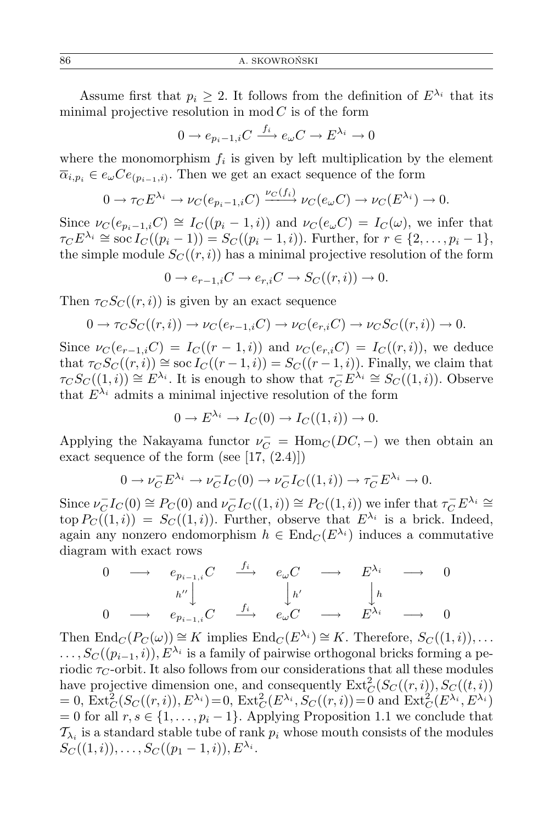Assume first that  $p_i \geq 2$ . It follows from the definition of  $E^{\lambda_i}$  that its minimal projective resolution in  $mod C$  is of the form

$$
0 \to e_{p_i - 1, i}C \xrightarrow{f_i} e_\omega C \to E^{\lambda_i} \to 0
$$

where the monomorphism  $f_i$  is given by left multiplication by the element  $\overline{\alpha}_{i,p_i} \in e_{\omega}Ce_{(p_{i-1},i)}$ . Then we get an exact sequence of the form

$$
0 \to \tau_C E^{\lambda_i} \to \nu_C(e_{p_i-1,i}C) \xrightarrow{\nu_C(f_i)} \nu_C(e_{\omega}C) \to \nu_C(E^{\lambda_i}) \to 0.
$$

Since  $\nu_C(e_{p_i-1,i}C) \cong I_C((p_i-1,i))$  and  $\nu_C(e_{\omega}C) = I_C(\omega)$ , we infer that  $\tau_C E^{\lambda_i} \cong \text{soc } I_C((p_i-1)) = S_C((p_i-1,i))$ . Further, for  $r \in \{2,\ldots,p_i-1\}$ , the simple module  $S_C((r,i))$  has a minimal projective resolution of the form

$$
0 \to e_{r-1,i}C \to e_{r,i}C \to S_C((r,i)) \to 0.
$$

Then  $\tau_{C}S_{C}(r,i)$  is given by an exact sequence

$$
0 \to \tau_C S_C((r,i)) \to \nu_C(e_{r-1,i}C) \to \nu_C(e_{r,i}C) \to \nu_C S_C((r,i)) \to 0.
$$

Since  $\nu_C(e_{r-1,i}C) = I_C((r-1,i))$  and  $\nu_C(e_{r,i}C) = I_C((r,i))$ , we deduce that  $\tau_C S_C((r, i)) \cong \text{soc } I_C((r - 1, i)) = S_C((r - 1, i))$ . Finally, we claim that  $\tau$ *C*  $S$ *C*((1*, i*))  $\cong E^{\lambda_i}$ . It is enough to show that  $\tau_C^- E^{\lambda_i} \cong S$ *C*((1*, i*)). Observe that  $E^{\lambda_i}$  admits a minimal injective resolution of the form

$$
0 \to E^{\lambda_i} \to I_C(0) \to I_C((1,i)) \to 0.
$$

Applying the Nakayama functor  $\nu_C^-$  = Hom<sub>*C*</sub>(*DC*, −) we then obtain an exact sequence of the form (see  $[17, (2.4)]$ )

$$
0 \to \nu_C^- E^{\lambda_i} \to \nu_C^- I_C(0) \to \nu_C^- I_C((1,i)) \to \tau_C^- E^{\lambda_i} \to 0.
$$

Since  $\nu_C^- I_C(0) \cong P_C(0)$  and  $\nu_C^- I_C((1,i)) \cong P_C((1,i))$  we infer that  $\tau_C^- E^{\lambda_i} \cong$  $\text{top } P_C((1,i)) = S_C((1,i))$ . Further, observe that  $E^{\lambda_i}$  is a brick. Indeed, again any nonzero endomorphism  $h \in \text{End}_{\mathcal{C}}(E^{\lambda_i})$  induces a commutative diagram with exact rows

$$
\begin{array}{ccccccc}\n0 & \longrightarrow & e_{p_{i-1,i}}C & \xrightarrow{f_i} & e_{\omega}C & \longrightarrow & E^{\lambda_i} & \longrightarrow & 0 \\
& & & h'' \downarrow & & & \downarrow_{h'} & & \downarrow_{h} \\
0 & \longrightarrow & e_{p_{i-1,i}}C & \xrightarrow{f_i} & e_{\omega}C & \longrightarrow & E^{\lambda_i} & \longrightarrow & 0\n\end{array}
$$

Then  $\text{End}_{C}(P_{C}(\omega)) \cong K$  implies  $\text{End}_{C}(E^{\lambda_i}) \cong K$ . Therefore,  $S_{C}((1,i)), \ldots$ *...*,  $S_C((p_{i-1}, i))$ ,  $E^{\lambda_i}$  is a family of pairwise orthogonal bricks forming a periodic  $\tau_C$ -orbit. It also follows from our considerations that all these modules have projective dimension one, and consequently  $\text{Ext}^2_C(S_C((r,i)), S_C((t,i))$  $= 0, \operatorname{Ext}^2_C(S_C((r, i)), E^{\lambda_i}) = 0, \operatorname{Ext}^2_C(E^{\lambda_i}, S_C((r, i)) = 0 \text{ and } \operatorname{Ext}^2_C(E^{\lambda_i}, E^{\lambda_i})$  $= 0$  for all  $r, s \in \{1, \ldots, p_i - 1\}$ . Applying Proposition 1.1 we conclude that  $\mathcal{T}_{\lambda_i}$  is a standard stable tube of rank  $p_i$  whose mouth consists of the modules  $S_C((1,i)), \ldots, S_C((p_1-1,i)), E^{\lambda_i}.$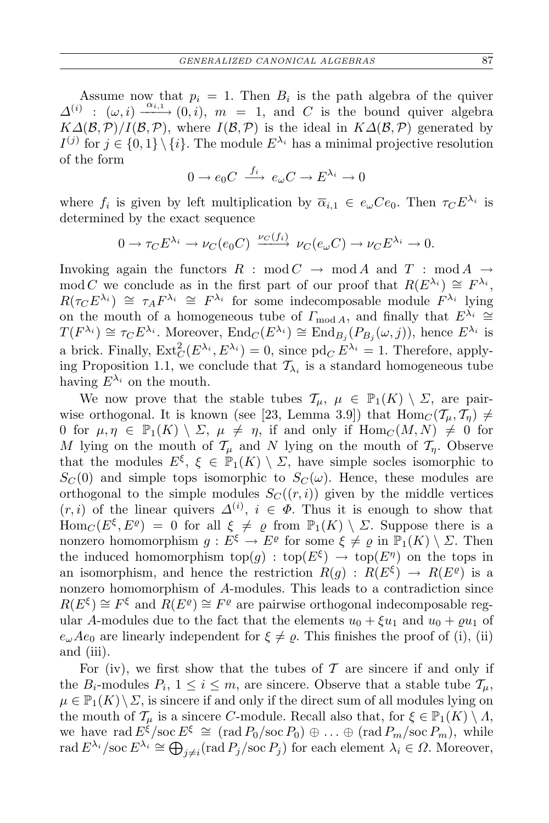Assume now that  $p_i = 1$ . Then  $B_i$  is the path algebra of the quiver  $\Delta^{(i)}$  :  $(\omega, i) \xrightarrow{\alpha_{i,1}} (0, i), m = 1$ , and *C* is the bound quiver algebra  $K\Delta(\mathcal{B}, \mathcal{P})/I(\mathcal{B}, \mathcal{P})$ , where  $I(\mathcal{B}, \mathcal{P})$  is the ideal in  $K\Delta(\mathcal{B}, \mathcal{P})$  generated by  $I^{(j)}$  for  $j \in \{0,1\} \setminus \{i\}$ . The module  $E^{\lambda_i}$  has a minimal projective resolution of the form

$$
0 \to e_0 C \xrightarrow{f_i} e_\omega C \to E^{\lambda_i} \to 0
$$

where  $f_i$  is given by left multiplication by  $\overline{\alpha}_{i,1} \in e_{\omega}Ce_0$ . Then  $\tau_C E^{\lambda_i}$  is determined by the exact sequence

$$
0 \to \tau_C E^{\lambda_i} \to \nu_C(e_0 C) \xrightarrow{\nu_C(f_i)} \nu_C(e_\omega C) \to \nu_C E^{\lambda_i} \to 0.
$$

Invoking again the functors  $R : \text{mod } C \rightarrow \text{mod } A$  and  $T : \text{mod } A \rightarrow$ mod *C* we conclude as in the first part of our proof that  $R(E^{\lambda_i}) \cong F^{\lambda_i}$ ,  $R(\tau_C E^{\lambda_i}) \cong \tau_A F^{\lambda_i} \cong F^{\lambda_i}$  for some indecomposable module  $F^{\lambda_i}$  lying on the mouth of a homogeneous tube of  $\Gamma_{\text{mod }A}$ , and finally that  $E^{\lambda_i} \cong$  $T(F^{\lambda_i}) \cong \tau_C E^{\lambda_i}$ . Moreover,  $\text{End}_C(E^{\lambda_i}) \cong \text{End}_{B_j}(P_{B_j}(\omega, j))$ , hence  $E^{\lambda_i}$  is a brick. Finally,  $\text{Ext}^2_C(E^{\lambda_i}, E^{\lambda_i}) = 0$ , since  $\text{pd}_C E^{\lambda_i} = 1$ . Therefore, applying Proposition 1.1, we conclude that  $\mathcal{T}_{\lambda_i}$  is a standard homogeneous tube having  $E^{\lambda_i}$  on the mouth.

We now prove that the stable tubes  $\mathcal{T}_u$ ,  $\mu \in \mathbb{P}_1(K) \setminus \Sigma$ , are pairwise orthogonal. It is known (see [23, Lemma 3.9]) that  $\text{Hom}_{\mathcal{C}}(\mathcal{T}_{\mu}, \mathcal{T}_{\eta}) \neq$ 0 for  $\mu, \eta \in \mathbb{P}_1(K) \setminus \Sigma$ ,  $\mu \neq \eta$ , if and only if  $\text{Hom}_C(M, N) \neq 0$  for *M* lying on the mouth of  $\mathcal{T}_{\mu}$  and *N* lying on the mouth of  $\mathcal{T}_{\eta}$ . Observe that the modules  $E^{\xi}$ ,  $\xi \in \mathbb{P}_1(K) \setminus \Sigma$ , have simple socles isomorphic to  $S_C(0)$  and simple tops isomorphic to  $S_C(\omega)$ . Hence, these modules are orthogonal to the simple modules  $S_C((r, i))$  given by the middle vertices  $(r, i)$  of the linear quivers  $\Delta^{(i)}$ ,  $i \in \Phi$ . Thus it is enough to show that Hom<sub>*C*</sub>( $E^{\xi}, E^{\varrho}$ ) = 0 for all  $\xi \neq \varrho$  from  $\mathbb{P}_1(K) \setminus \Sigma$ . Suppose there is a nonzero homomorphism  $g: E^{\xi} \to E^{\varrho}$  for some  $\xi \neq \varrho$  in  $\mathbb{P}_1(K) \setminus \Sigma$ . Then the induced homomorphism top( $g$ ) : top( $E^{\xi}$ )  $\rightarrow$  top( $E^{\eta}$ ) on the tops in an isomorphism, and hence the restriction  $R(g) : R(E^{\xi}) \to R(E^{\varrho})$  is a nonzero homomorphism of *A*-modules. This leads to a contradiction since  $R(E^{\xi}) \cong F^{\xi}$  and  $R(E^{\varrho}) \cong F^{\varrho}$  are pairwise orthogonal indecomposable regular *A*-modules due to the fact that the elements  $u_0 + \xi u_1$  and  $u_0 + \rho u_1$  of  $e_{\omega}Ae_0$  are linearly independent for  $\xi \neq \varrho$ . This finishes the proof of (i), (ii) and (iii).

For (iv), we first show that the tubes of  $\mathcal T$  are sincere if and only if the  $B_i$ -modules  $P_i$ ,  $1 \leq i \leq m$ , are sincere. Observe that a stable tube  $\mathcal{T}_{\mu}$ ,  $\mu \in \mathbb{P}_1(K) \setminus \Sigma$ , is sincere if and only if the direct sum of all modules lying on the mouth of  $\mathcal{T}_{\mu}$  is a sincere *C*-module. Recall also that, for  $\xi \in \mathbb{P}_1(K) \setminus \Lambda$ , we have rad  $E^{\xi}/\mathrm{soc } E^{\xi} \cong (\text{rad } P_0/\text{soc } P_0) \oplus \ldots \oplus (\text{rad } P_m/\text{soc } P_m),$  while  $\text{rad } E^{\lambda_i}/\text{soc } E^{\lambda_i} \cong \bigoplus_{j \neq i} (\text{rad } P_j/\text{soc } P_j) \text{ for each element } \lambda_i \in \Omega. \text{ Moreover, }$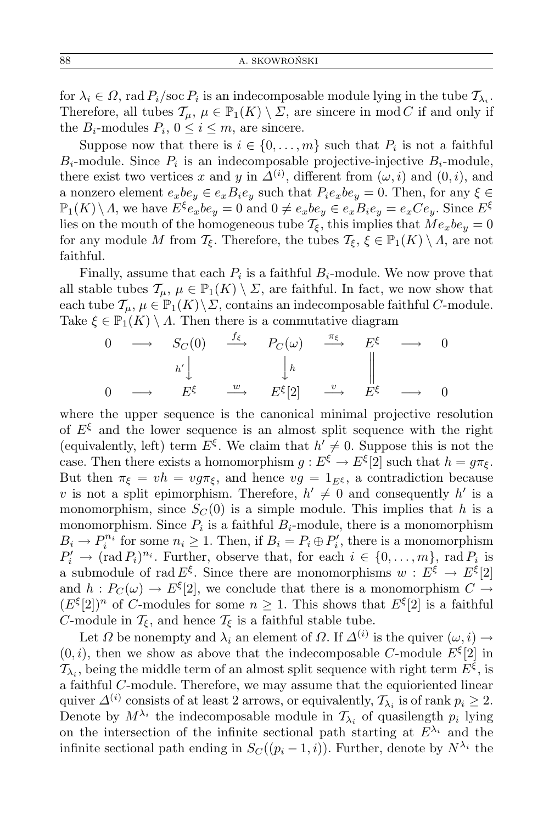for  $\lambda_i \in \Omega$ , rad  $P_i/\text{soc } P_i$  is an indecomposable module lying in the tube  $\mathcal{T}_{\lambda_i}$ . Therefore, all tubes  $\mathcal{T}_{\mu}$ ,  $\mu \in \mathbb{P}_1(K) \setminus \Sigma$ , are sincere in mod *C* if and only if the  $B_i$ -modules  $P_i$ ,  $0 \le i \le m$ , are sincere.

Suppose now that there is  $i \in \{0, \ldots, m\}$  such that  $P_i$  is not a faithful  $B_i$ -module. Since  $P_i$  is an indecomposable projective-injective  $B_i$ -module, there exist two vertices *x* and *y* in  $\Delta^{(i)}$ , different from  $(\omega, i)$  and  $(0, i)$ , and a nonzero element  $e_xbe_y \in e_xB_ie_y$  such that  $P_ie_xbe_y = 0$ . Then, for any  $\xi \in$  $\mathbb{P}_1(K)\setminus\Lambda$ , we have  $E^{\xi}e_xbe_y=0$  and  $0\neq e_xbe_y\in e_xB_ie_y=e_xCe_y$ . Since  $E^{\xi}$ lies on the mouth of the homogeneous tube  $\mathcal{T}_{\xi}$ , this implies that  $Me_xbe_y = 0$ for any module *M* from  $\mathcal{T}_{\xi}$ . Therefore, the tubes  $\mathcal{T}_{\xi}$ ,  $\xi \in \mathbb{P}_1(K) \setminus \Lambda$ , are not faithful.

Finally, assume that each  $P_i$  is a faithful  $B_i$ -module. We now prove that all stable tubes  $\mathcal{T}_{\mu}$ ,  $\mu \in \mathbb{P}_1(K) \setminus \Sigma$ , are faithful. In fact, we now show that each tube  $\mathcal{T}_{\mu}, \mu \in \mathbb{P}_1(K) \backslash \Sigma$ , contains an indecomposable faithful *C*-module. Take  $\xi \in \mathbb{P}_1(K) \setminus \Lambda$ . Then there is a commutative diagram

$$
\begin{array}{ccccccc}\n0 & \longrightarrow & S_C(0) & \xrightarrow{f_{\xi}} & P_C(\omega) & \xrightarrow{\pi_{\xi}} & E^{\xi} & \longrightarrow & 0 \\
& & h' & & h & & \parallel \\
0 & \longrightarrow & E^{\xi} & \xrightarrow{w} & E^{\xi}[2] & \xrightarrow{v} & E^{\xi} & \longrightarrow & 0\n\end{array}
$$

where the upper sequence is the canonical minimal projective resolution of  $E^{\xi}$  and the lower sequence is an almost split sequence with the right (equivalently, left) term  $E^{\xi}$ . We claim that  $h' \neq 0$ . Suppose this is not the case. Then there exists a homomorphism  $g: E^{\xi} \to E^{\xi}[2]$  such that  $h = g\pi_{\xi}$ . But then  $\pi_{\xi} = v h = v g \pi_{\xi}$ , and hence  $v g = 1_{E^{\xi}}$ , a contradiction because *v* is not a split epimorphism. Therefore,  $h' \neq 0$  and consequently  $h'$  is a monomorphism, since  $S_C(0)$  is a simple module. This implies that *h* is a monomorphism. Since  $P_i$  is a faithful  $B_i$ -module, there is a monomorphism  $B_i \to P_i^{n_i}$  for some  $n_i \geq 1$ . Then, if  $B_i = P_i \oplus P'_i$ , there is a monomorphism  $P'_i \to (\text{rad } P_i)^{n_i}$ . Further, observe that, for each  $i \in \{0, \ldots, m\}$ , rad  $P_i$  is a submodule of rad  $E^{\xi}$ . Since there are monomorphisms  $w : E^{\xi} \to E^{\xi}[2]$ and  $h: P_C(\omega) \to E^{\xi}[2]$ , we conclude that there is a monomorphism  $C \to$  $(E^{\xi}[2])^n$  of *C*-modules for some  $n \geq 1$ . This shows that  $E^{\xi}[2]$  is a faithful *C*-module in  $\mathcal{T}_{\xi}$ , and hence  $\mathcal{T}_{\xi}$  is a faithful stable tube.

Let  $\Omega$  be nonempty and  $\lambda_i$  an element of  $\Omega$ . If  $\Delta^{(i)}$  is the quiver  $(\omega, i) \to$  $(0, i)$ , then we show as above that the indecomposable *C*-module  $E^{\xi}[2]$  in  $\mathcal{T}_{\lambda_i}$ , being the middle term of an almost split sequence with right term  $E^{\xi}$ , is a faithful *C*-module. Therefore, we may assume that the equioriented linear quiver  $\Delta^{(i)}$  consists of at least 2 arrows, or equivalently,  $\mathcal{T}_{\lambda_i}$  is of rank  $p_i \geq 2$ . Denote by  $M^{\lambda_i}$  the indecomposable module in  $\mathcal{T}_{\lambda_i}$  of quasilength  $p_i$  lying on the intersection of the infinite sectional path starting at  $E^{\lambda_i}$  and the infinite sectional path ending in  $S_C((p_i-1,i))$ . Further, denote by  $N^{\lambda_i}$  the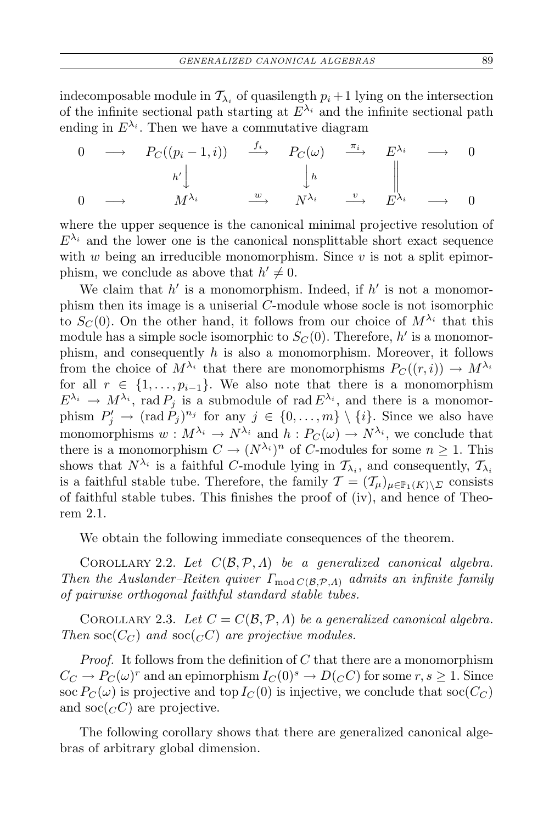indecomposable module in  $\mathcal{T}_{\lambda_i}$  of quasilength  $p_i + 1$  lying on the intersection of the infinite sectional path starting at  $E^{\lambda_i}$  and the infinite sectional path ending in  $E^{\lambda_i}$ . Then we have a commutative diagram

$$
\begin{array}{ccccccc}\n0 & \longrightarrow & P_C((p_i - 1, i)) & \xrightarrow{f_i} & P_C(\omega) & \xrightarrow{\pi_i} & E^{\lambda_i} & \longrightarrow & 0 \\
& & & h' \downarrow & & \downarrow h & & \parallel \\
0 & \longrightarrow & M^{\lambda_i} & \xrightarrow{w} & N^{\lambda_i} & \xrightarrow{v} & E^{\lambda_i} & \longrightarrow & 0\n\end{array}
$$

where the upper sequence is the canonical minimal projective resolution of  $E^{\lambda_i}$  and the lower one is the canonical nonsplittable short exact sequence with *w* being an irreducible monomorphism. Since *v* is not a split epimorphism, we conclude as above that  $h' \neq 0$ .

We claim that  $h'$  is a monomorphism. Indeed, if  $h'$  is not a monomorphism then its image is a uniserial *C*-module whose socle is not isomorphic to  $S_C(0)$ . On the other hand, it follows from our choice of  $M^{\lambda_i}$  that this module has a simple socle isomorphic to  $S_C(0)$ . Therefore,  $h'$  is a monomorphism, and consequently *h* is also a monomorphism. Moreover, it follows from the choice of  $M^{\lambda_i}$  that there are monomorphisms  $P_C((r,i)) \to M^{\lambda_i}$ for all  $r \in \{1, \ldots, p_{i-1}\}$ . We also note that there is a monomorphism  $E^{\lambda_i} \to M^{\lambda_i}$ , rad  $P_j$  is a submodule of rad  $E^{\lambda_i}$ , and there is a monomorphism  $P'_{j} \rightarrow (\text{rad } P_{j})^{n_{j}}$  for any  $j \in \{0, ..., m\} \setminus \{i\}$ . Since we also have monomorphisms  $w: M^{\lambda_i} \to N^{\lambda_i}$  and  $h: P_C(\omega) \to N^{\lambda_i}$ , we conclude that there is a monomorphism  $C \to (N^{\lambda_i})^n$  of *C*-modules for some  $n \geq 1$ . This shows that  $N^{\lambda_i}$  is a faithful *C*-module lying in  $\mathcal{T}_{\lambda_i}$ , and consequently,  $\mathcal{T}_{\lambda_i}$ is a faithful stable tube. Therefore, the family  $\mathcal{T} = (\mathcal{T}_{\mu})_{\mu \in \mathbb{P}_1(K) \setminus \Sigma}$  consists of faithful stable tubes. This finishes the proof of (iv), and hence of Theorem 2.1.

We obtain the following immediate consequences of the theorem.

COROLLARY 2.2. Let  $C(\mathcal{B}, \mathcal{P}, \Lambda)$  be a generalized canonical algebra. *Then the Auslander–Reiten quiver*  $\Gamma_{\text{mod }C(\mathcal{B},\mathcal{P},\Lambda)}$  *admits an infinite family of pairwise orthogonal faithful standard stable tubes.*

COROLLARY 2.3. Let  $C = C(\mathcal{B}, \mathcal{P}, \Lambda)$  be a generalized canonical algebra. *Then*  $\operatorname{soc}(C_C)$  *and*  $\operatorname{soc}(C_C)$  *are projective modules.* 

*Proof.* It follows from the definition of *C* that there are a monomorphism  $C_C \to P_C(\omega)^r$  and an epimorphism  $I_C(0)^s \to D(C^c)$  for some  $r, s \geq 1$ . Since soc  $P_C(\omega)$  is projective and top  $I_C(0)$  is injective, we conclude that soc $(C_C)$ and soc $({}_{C}C)$  are projective.

The following corollary shows that there are generalized canonical algebras of arbitrary global dimension.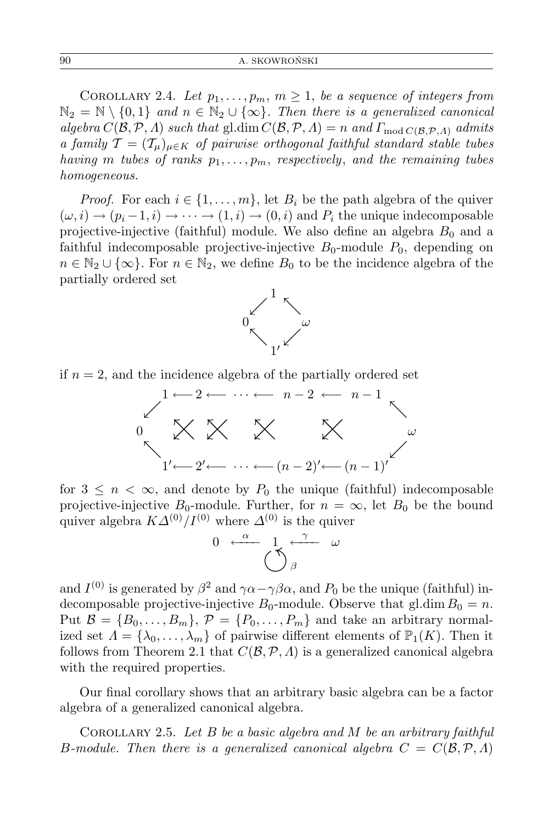COROLLARY 2.4. Let  $p_1, \ldots, p_m, m \geq 1$ , be a sequence of integers from  $\mathbb{N}_2 = \mathbb{N} \setminus \{0,1\}$  and  $n \in \mathbb{N}_2 \cup \{\infty\}$ *. Then there is a generalized canonical* algebra  $C(\mathcal{B}, \mathcal{P}, \Lambda)$  such that gl.dim  $C(\mathcal{B}, \mathcal{P}, \Lambda) = n$  and  $\Gamma_{\text{mod }C(\mathcal{B}, \mathcal{P}, \Lambda)}$  admits *a family*  $\mathcal{T} = (\mathcal{T}_{\mu})_{\mu \in K}$  *of pairwise orthogonal faithful standard stable tubes having m tubes* of *ranks*  $p_1, \ldots, p_m$ *, respectively, and the remaining tubes homogeneous.*

*Proof.* For each  $i \in \{1, \ldots, m\}$ , let  $B_i$  be the path algebra of the quiver  $(\omega, i) \rightarrow (p_i - 1, i) \rightarrow \cdots \rightarrow (1, i) \rightarrow (0, i)$  and  $P_i$  the unique indecomposable projective-injective (faithful) module. We also define an algebra  $B_0$  and a faithful indecomposable projective-injective  $B_0$ -module  $P_0$ , depending on  $n \in \mathbb{N}_2 \cup \{\infty\}$ . For  $n \in \mathbb{N}_2$ , we define  $B_0$  to be the incidence algebra of the partially ordered set



if  $n = 2$ , and the incidence algebra of the partially ordered set



for  $3 \leq n < \infty$ , and denote by  $P_0$  the unique (faithful) indecomposable projective-injective  $B_0$ -module. Further, for  $n = \infty$ , let  $B_0$  be the bound quiver algebra  $K\Delta^{(0)}/I^{(0)}$  where  $\Delta^{(0)}$  is the quiver



and  $I^{(0)}$  is generated by  $\beta^2$  and  $\gamma \alpha - \gamma \beta \alpha$ , and  $P_0$  be the unique (faithful) indecomposable projective-injective  $B_0$ -module. Observe that gl.dim  $B_0 = n$ . Put  $\mathcal{B} = \{B_0, \ldots, B_m\}, \mathcal{P} = \{P_0, \ldots, P_m\}$  and take an arbitrary normalized set  $\Lambda = {\lambda_0, \ldots, \lambda_m}$  of pairwise different elements of  $\mathbb{P}_1(K)$ . Then it follows from Theorem 2.1 that  $C(\mathcal{B}, \mathcal{P}, \Lambda)$  is a generalized canonical algebra with the required properties.

Our final corollary shows that an arbitrary basic algebra can be a factor algebra of a generalized canonical algebra.

Corollary 2.5. *Let B be a basic algebra and M be an arbitrary faithful B-module. Then there is a generalized canonical algebra*  $C = C(\mathcal{B}, \mathcal{P}, \Lambda)$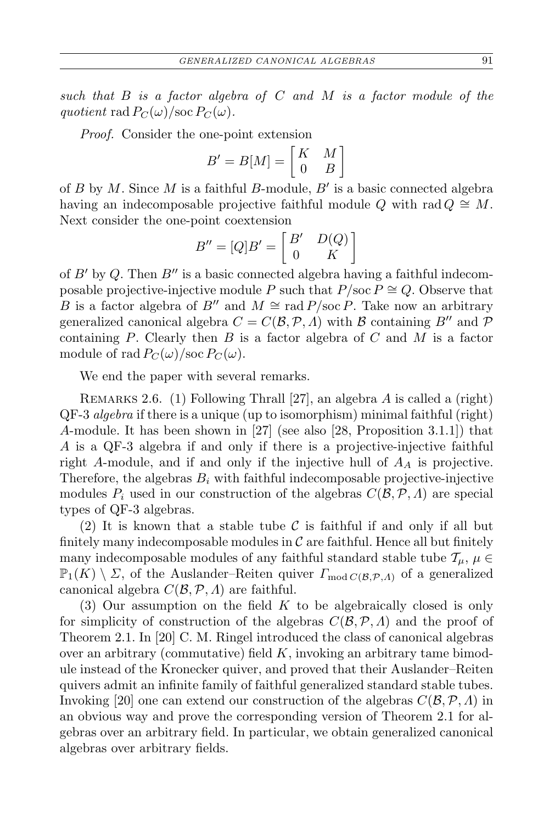*such that B is a factor algebra of C and M is a factor module of the quotient* rad  $P_C(\omega)/\text{soc }P_C(\omega)$ .

*Proof.* Consider the one-point extension

$$
B' = B[M] = \begin{bmatrix} K & M \\ 0 & B \end{bmatrix}
$$

of *B* by *M*. Since *M* is a faithful *B*-module, *B′* is a basic connected algebra having an indecomposable projective faithful module  $Q$  with rad  $Q \cong M$ . Next consider the one-point coextension

$$
B'' = [Q]B' = \begin{bmatrix} B' & D(Q) \\ 0 & K \end{bmatrix}
$$

of *B′* by *Q*. Then *B′′* is a basic connected algebra having a faithful indecomposable projective-injective module *P* such that  $P/\text{soc } P \cong Q$ . Observe that *B* is a factor algebra of *B*<sup>*′′*</sup> and  $M \cong \text{rad } P/\text{soc } P$ . Take now an arbitrary generalized canonical algebra  $C = C(\mathcal{B}, \mathcal{P}, \Lambda)$  with  $\mathcal B$  containing  $B''$  and  $\mathcal P$ containing *P*. Clearly then *B* is a factor algebra of *C* and *M* is a factor module of rad  $P_C(\omega)/\text{soc } P_C(\omega)$ .

We end the paper with several remarks.

Remarks 2.6. (1) Following Thrall [27], an algebra *A* is called a (right) QF-3 *algebra* if there is a unique (up to isomorphism) minimal faithful (right) *A*-module. It has been shown in [27] (see also [28, Proposition 3.1.1]) that *A* is a QF-3 algebra if and only if there is a projective-injective faithful right *A*-module, and if and only if the injective hull of *A<sup>A</sup>* is projective. Therefore, the algebras  $B_i$  with faithful indecomposable projective-injective modules  $P_i$  used in our construction of the algebras  $C(\mathcal{B}, \mathcal{P}, \Lambda)$  are special types of QF-3 algebras.

(2) It is known that a stable tube  $\mathcal C$  is faithful if and only if all but finitely many indecomposable modules in  $\mathcal C$  are faithful. Hence all but finitely many indecomposable modules of any faithful standard stable tube  $\mathcal{T}_u$ ,  $\mu \in$  $\mathbb{P}_1(K) \setminus \Sigma$ , of the Auslander–Reiten quiver  $\Gamma_{\text{mod }C(\mathcal{B},\mathcal{P},\Lambda)}$  of a generalized canonical algebra *C*(*B,P, Λ*) are faithful.

(3) Our assumption on the field *K* to be algebraically closed is only for simplicity of construction of the algebras *C*(*B,P, Λ*) and the proof of Theorem 2.1. In [20] C. M. Ringel introduced the class of canonical algebras over an arbitrary (commutative) field *K*, invoking an arbitrary tame bimodule instead of the Kronecker quiver, and proved that their Auslander–Reiten quivers admit an infinite family of faithful generalized standard stable tubes. Invoking [20] one can extend our construction of the algebras *C*(*B,P, Λ*) in an obvious way and prove the corresponding version of Theorem 2.1 for algebras over an arbitrary field. In particular, we obtain generalized canonical algebras over arbitrary fields.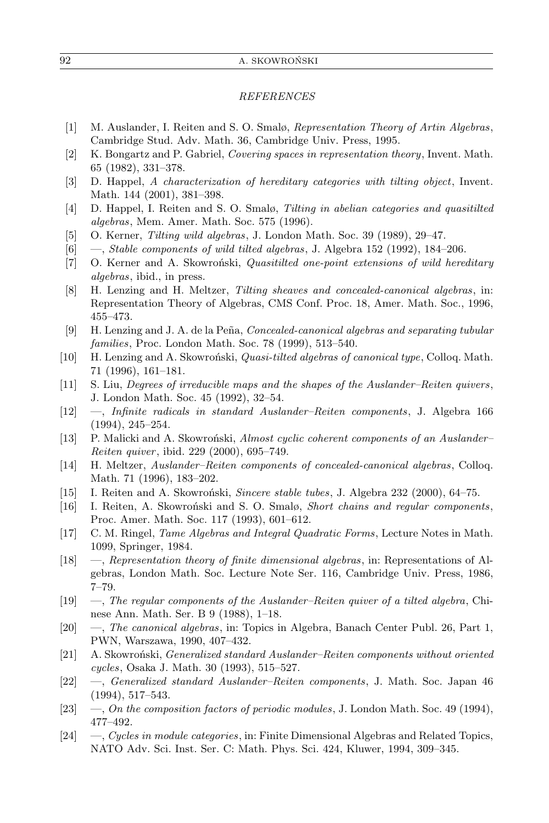## *REFERENCES*

- [1] M. Auslander, I. Reiten and S. O. Smalø, *Representation Theory of Artin Algebras*, Cambridge Stud. Adv. Math. 36, Cambridge Univ. Press, 1995.
- [2] K. Bongartz and P. Gabriel, *Covering spaces in representation theory*, Invent. Math. 65 (1982), 331–378.
- [3] D. Happel, *A characterization of hereditary categories with tilting object*, Invent. Math. 144 (2001), 381–398.
- [4] D. Happel, I. Reiten and S. O. Smalø, *Tilting in abelian categories and quasitilted algebras*, Mem. Amer. Math. Soc. 575 (1996).
- [5] O. Kerner, *Tilting wild algebras*, J. London Math. Soc. 39 (1989), 29–47.
- [6] —, *Stable components of wild tilted algebras*, J. Algebra 152 (1992), 184–206.
- [7] O. Kerner and A. Skowroński, *Quasitilted one-point extensions of wild hereditary algebras*, ibid., in press.
- [8] H. Lenzing and H. Meltzer, *Tilting sheaves and concealed-canonical algebras*, in: Representation Theory of Algebras, CMS Conf. Proc. 18, Amer. Math. Soc., 1996, 455–473.
- [9] H. Lenzing and J. A. de la Peña, *Concealed-canonical algebras and separating tubular families*, Proc. London Math. Soc. 78 (1999), 513–540.
- [10] H. Lenzing and A. Skowroński, *Quasi-tilted algebras of canonical type*, Colloq. Math. 71 (1996), 161–181.
- [11] S. Liu, *Degrees of irreducible maps and the shapes of the Auslander–Reiten quivers*, J. London Math. Soc. 45 (1992), 32–54.
- [12] —, *Infinite radicals in standard Auslander–Reiten components*, J. Algebra 166 (1994), 245–254.
- [13] P. Malicki and A. Skowroński, *Almost cyclic coherent components of an Auslander– Reiten quiver* , ibid. 229 (2000), 695–749.
- [14] H. Meltzer, *Auslander–Reiten components of concealed-canonical algebras*, Colloq. Math. 71 (1996), 183–202.
- [15] I. Reiten and A. Skowroński, *Sincere stable tubes*, J. Algebra 232 (2000), 64–75.
- [16] I. Reiten, A. Skowroński and S. O. Smalø, *Short chains and regular components*, Proc. Amer. Math. Soc. 117 (1993), 601–612.
- [17] C. M. Ringel, *Tame Algebras and Integral Quadratic Forms*, Lecture Notes in Math. 1099, Springer, 1984.
- [18] —, *Representation theory of finite dimensional algebras*, in: Representations of Algebras, London Math. Soc. Lecture Note Ser. 116, Cambridge Univ. Press, 1986, 7–79.
- [19] —, *The regular components of the Auslander–Reiten quiver of a tilted algebra*, Chinese Ann. Math. Ser. B 9 (1988), 1–18.
- [20] —, *The canonical algebras*, in: Topics in Algebra, Banach Center Publ. 26, Part 1, PWN, Warszawa, 1990, 407–432.
- [21] A. Skowroński, *Generalized standard Auslander–Reiten components without oriented cycles*, Osaka J. Math. 30 (1993), 515–527.
- [22] —, *Generalized standard Auslander–Reiten components*, J. Math. Soc. Japan 46 (1994), 517–543.
- [23] —, *On the composition factors of periodic modules*, J. London Math. Soc. 49 (1994), 477–492.
- [24] —, *Cycles in module categories*, in: Finite Dimensional Algebras and Related Topics, NATO Adv. Sci. Inst. Ser. C: Math. Phys. Sci. 424, Kluwer, 1994, 309–345.